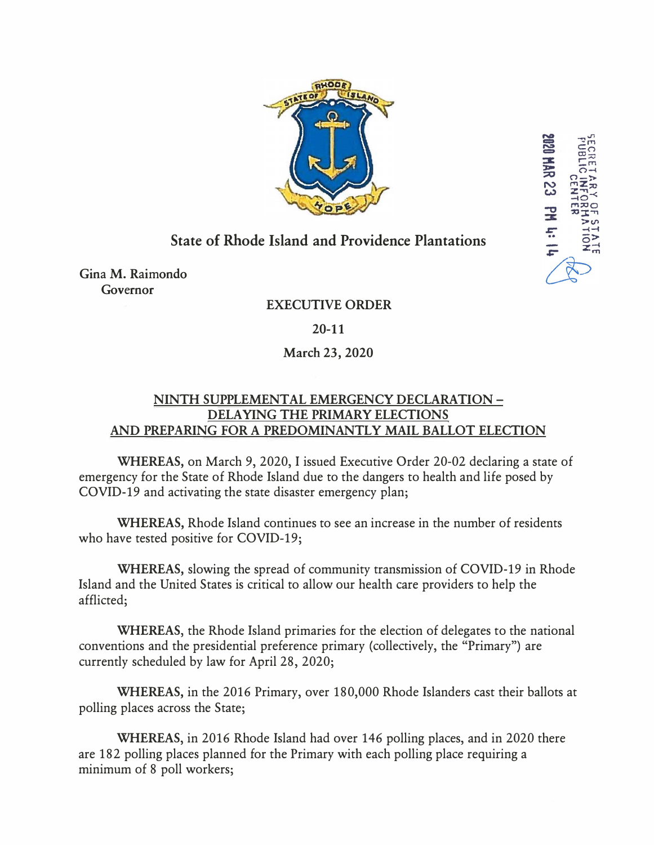

**HAR 23** 

**SH HS** 

## **State of Rhode Island and Providence Plantations**

Gina M. Raimondo Governor

## **EXECUTIVE ORDER**

**20-11**

## **March 23, 2020**

## **NINTH SUPPLEMENT AL EMERGENCY DECLARATION - DELA YING THE PRIMARY ELECTIONS AND PREPARING FOR A PREDOMINANTLY MAIL BALLOT ELECTION**

**WHEREAS,** on March 9, 2020, I issued Executive Order 20-02 declaring a state of emergency for the State of Rhode Island due to the dangers to health and life posed by COVID-19 and activating the state disaster emergency plan;

**WHEREAS,** Rhode Island continues to see an increase in the number of residents who have tested positive for COVID-19;

**WHEREAS,** slowing the spread of community transmission of COVID-19 in Rhode Island and the United States is critical to allow our health care providers to help the afflicted;

**WHEREAS,** the Rhode Island primaries for the election of delegates to the national conventions and the presidential preference primary (collectively, the "Primary") are currently scheduled by law for April 28, 2020;

**WHEREAS,** in the 2016 Primary, over 180,000 Rhode Islanders cast their ballots at polling places across the State;

**WHEREAS,** in 2016 Rhode Island had over 146 polling places, and in 2020 there are 182 polling places planned for the Primary with each polling place requiring a minimum of 8 poll workers;